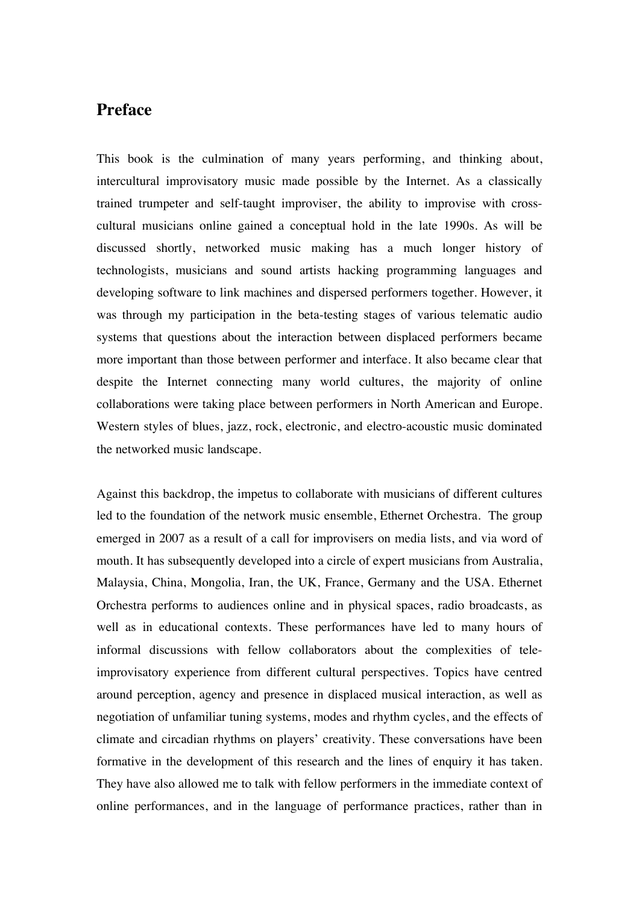## **Preface**

This book is the culmination of many years performing, and thinking about, intercultural improvisatory music made possible by the Internet. As a classically trained trumpeter and self-taught improviser, the ability to improvise with crosscultural musicians online gained a conceptual hold in the late 1990s. As will be discussed shortly, networked music making has a much longer history of technologists, musicians and sound artists hacking programming languages and developing software to link machines and dispersed performers together. However, it was through my participation in the beta-testing stages of various telematic audio systems that questions about the interaction between displaced performers became more important than those between performer and interface. It also became clear that despite the Internet connecting many world cultures, the majority of online collaborations were taking place between performers in North American and Europe. Western styles of blues, jazz, rock, electronic, and electro-acoustic music dominated the networked music landscape.

Against this backdrop, the impetus to collaborate with musicians of different cultures led to the foundation of the network music ensemble, Ethernet Orchestra. The group emerged in 2007 as a result of a call for improvisers on media lists, and via word of mouth. It has subsequently developed into a circle of expert musicians from Australia, Malaysia, China, Mongolia, Iran, the UK, France, Germany and the USA. Ethernet Orchestra performs to audiences online and in physical spaces, radio broadcasts, as well as in educational contexts. These performances have led to many hours of informal discussions with fellow collaborators about the complexities of teleimprovisatory experience from different cultural perspectives. Topics have centred around perception, agency and presence in displaced musical interaction, as well as negotiation of unfamiliar tuning systems, modes and rhythm cycles, and the effects of climate and circadian rhythms on players' creativity. These conversations have been formative in the development of this research and the lines of enquiry it has taken. They have also allowed me to talk with fellow performers in the immediate context of online performances, and in the language of performance practices, rather than in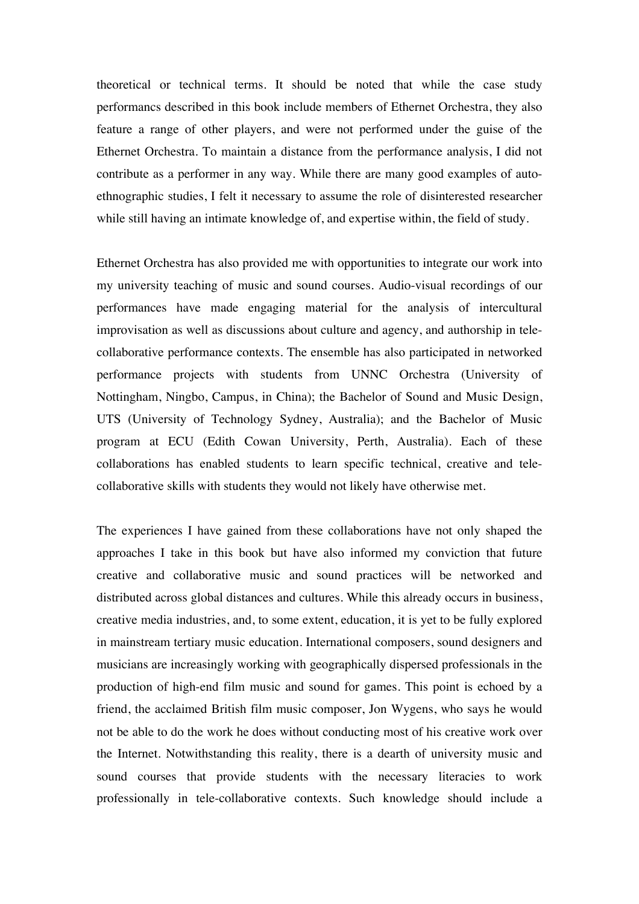theoretical or technical terms. It should be noted that while the case study performancs described in this book include members of Ethernet Orchestra, they also feature a range of other players, and were not performed under the guise of the Ethernet Orchestra. To maintain a distance from the performance analysis, I did not contribute as a performer in any way. While there are many good examples of autoethnographic studies, I felt it necessary to assume the role of disinterested researcher while still having an intimate knowledge of, and expertise within, the field of study.

Ethernet Orchestra has also provided me with opportunities to integrate our work into my university teaching of music and sound courses. Audio-visual recordings of our performances have made engaging material for the analysis of intercultural improvisation as well as discussions about culture and agency, and authorship in telecollaborative performance contexts. The ensemble has also participated in networked performance projects with students from UNNC Orchestra (University of Nottingham, Ningbo, Campus, in China); the Bachelor of Sound and Music Design, UTS (University of Technology Sydney, Australia); and the Bachelor of Music program at ECU (Edith Cowan University, Perth, Australia). Each of these collaborations has enabled students to learn specific technical, creative and telecollaborative skills with students they would not likely have otherwise met.

The experiences I have gained from these collaborations have not only shaped the approaches I take in this book but have also informed my conviction that future creative and collaborative music and sound practices will be networked and distributed across global distances and cultures. While this already occurs in business, creative media industries, and, to some extent, education, it is yet to be fully explored in mainstream tertiary music education. International composers, sound designers and musicians are increasingly working with geographically dispersed professionals in the production of high-end film music and sound for games. This point is echoed by a friend, the acclaimed British film music composer, Jon Wygens, who says he would not be able to do the work he does without conducting most of his creative work over the Internet. Notwithstanding this reality, there is a dearth of university music and sound courses that provide students with the necessary literacies to work professionally in tele-collaborative contexts. Such knowledge should include a